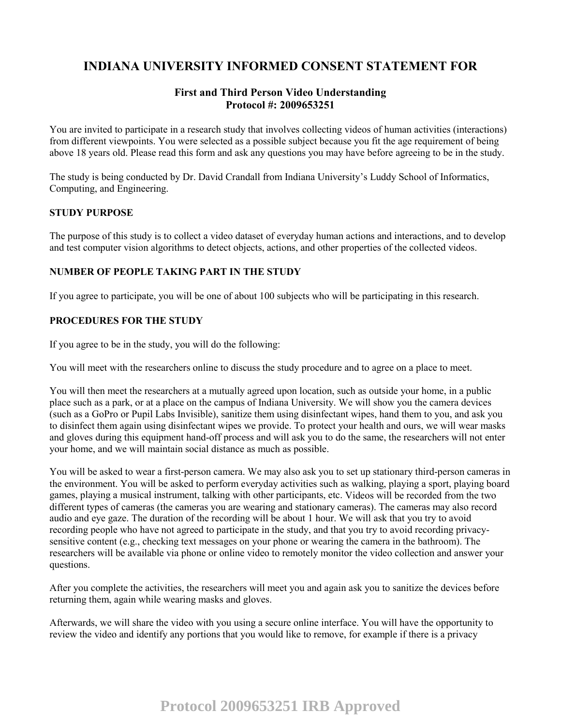# **INDIANA UNIVERSITY INFORMED CONSENT STATEMENT FOR**

# **First and Third Person Video Understanding Protocol #: 2009653251**

You are invited to participate in a research study that involves collecting videos of human activities (interactions) from different viewpoints. You were selected as a possible subject because you fit the age requirement of being above 18 years old. Please read this form and ask any questions you may have before agreeing to be in the study.

The study is being conducted by Dr. David Crandall from Indiana University's Luddy School of Informatics, Computing, and Engineering.

### **STUDY PURPOSE**

The purpose of this study is to collect a video dataset of everyday human actions and interactions, and to develop and test computer vision algorithms to detect objects, actions, and other properties of the collected videos.

## **NUMBER OF PEOPLE TAKING PART IN THE STUDY**

If you agree to participate, you will be one of about 100 subjects who will be participating in this research.

## **PROCEDURES FOR THE STUDY**

If you agree to be in the study, you will do the following:

You will meet with the researchers online to discuss the study procedure and to agree on a place to meet.

You will then meet the researchers at a mutually agreed upon location, such as outside your home, in a public place such as a park, or at a place on the campus of Indiana University. We will show you the camera devices (such as a GoPro or Pupil Labs Invisible), sanitize them using disinfectant wipes, hand them to you, and ask you to disinfect them again using disinfectant wipes we provide. To protect your health and ours, we will wear masks and gloves during this equipment hand-off process and will ask you to do the same, the researchers will not enter your home, and we will maintain social distance as much as possible.

You will be asked to wear a first-person camera. We may also ask you to set up stationary third-person cameras in the environment. You will be asked to perform everyday activities such as walking, playing a sport, playing board games, playing a musical instrument, talking with other participants, etc. Videos will be recorded from the two different types of cameras (the cameras you are wearing and stationary cameras). The cameras may also record audio and eye gaze. The duration of the recording will be about 1 hour. We will ask that you try to avoid recording people who have not agreed to participate in the study, and that you try to avoid recording privacysensitive content (e.g., checking text messages on your phone or wearing the camera in the bathroom). The researchers will be available via phone or online video to remotely monitor the video collection and answer your questions.

After you complete the activities, the researchers will meet you and again ask you to sanitize the devices before returning them, again while wearing masks and gloves.

Afterwards, we will share the video with you using a secure online interface. You will have the opportunity to review the video and identify any portions that you would like to remove, for example if there is a privacy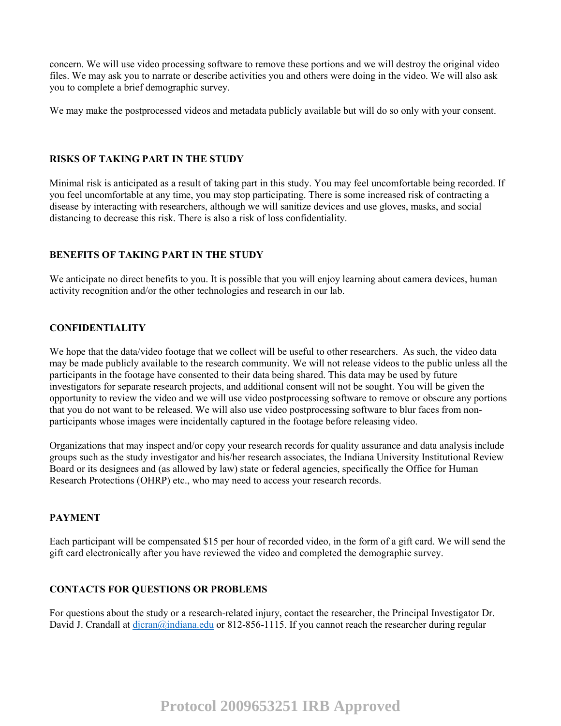concern. We will use video processing software to remove these portions and we will destroy the original video files. We may ask you to narrate or describe activities you and others were doing in the video. We will also ask you to complete a brief demographic survey.

We may make the postprocessed videos and metadata publicly available but will do so only with your consent.

## **RISKS OF TAKING PART IN THE STUDY**

Minimal risk is anticipated as a result of taking part in this study. You may feel uncomfortable being recorded. If you feel uncomfortable at any time, you may stop participating. There is some increased risk of contracting a disease by interacting with researchers, although we will sanitize devices and use gloves, masks, and social distancing to decrease this risk. There is also a risk of loss confidentiality.

## **BENEFITS OF TAKING PART IN THE STUDY**

We anticipate no direct benefits to you. It is possible that you will enjoy learning about camera devices, human activity recognition and/or the other technologies and research in our lab.

## **CONFIDENTIALITY**

We hope that the data/video footage that we collect will be useful to other researchers. As such, the video data may be made publicly available to the research community. We will not release videos to the public unless all the participants in the footage have consented to their data being shared. This data may be used by future investigators for separate research projects, and additional consent will not be sought. You will be given the opportunity to review the video and we will use video postprocessing software to remove or obscure any portions that you do not want to be released. We will also use video postprocessing software to blur faces from nonparticipants whose images were incidentally captured in the footage before releasing video.

Organizations that may inspect and/or copy your research records for quality assurance and data analysis include groups such as the study investigator and his/her research associates, the Indiana University Institutional Review Board or its designees and (as allowed by law) state or federal agencies, specifically the Office for Human Research Protections (OHRP) etc., who may need to access your research records.

### **PAYMENT**

Each participant will be compensated \$15 per hour of recorded video, in the form of a gift card. We will send the gift card electronically after you have reviewed the video and completed the demographic survey.

## **CONTACTS FOR QUESTIONS OR PROBLEMS**

For questions about the study or a research-related injury, contact the researcher, the Principal Investigator Dr. David J. Crandall at dicran@indiana.edu or 812-856-1115. If you cannot reach the researcher during regular